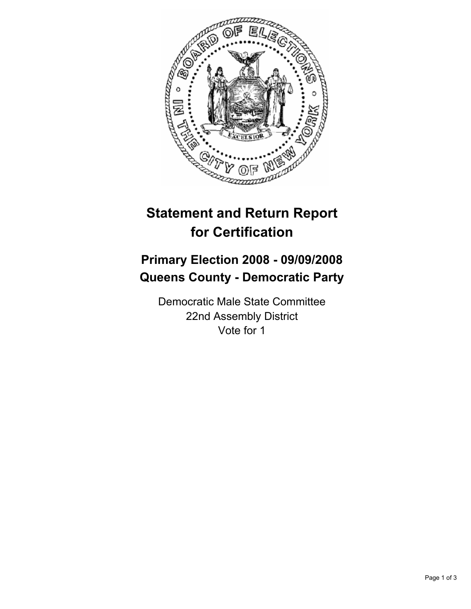

## **Statement and Return Report for Certification**

## **Primary Election 2008 - 09/09/2008 Queens County - Democratic Party**

Democratic Male State Committee 22nd Assembly District Vote for 1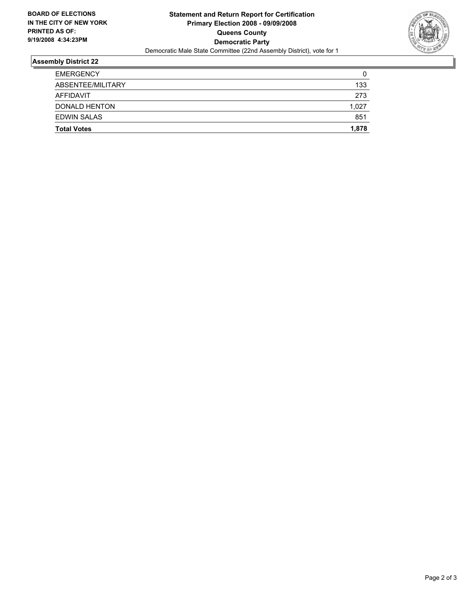

## **Assembly District 22**

| <b>Total Votes</b>   | 1,878 |
|----------------------|-------|
| <b>EDWIN SALAS</b>   | 851   |
| <b>DONALD HENTON</b> | 1,027 |
| AFFIDAVIT            | 273   |
| ABSENTEE/MILITARY    | 133   |
| <b>EMERGENCY</b>     | 0     |